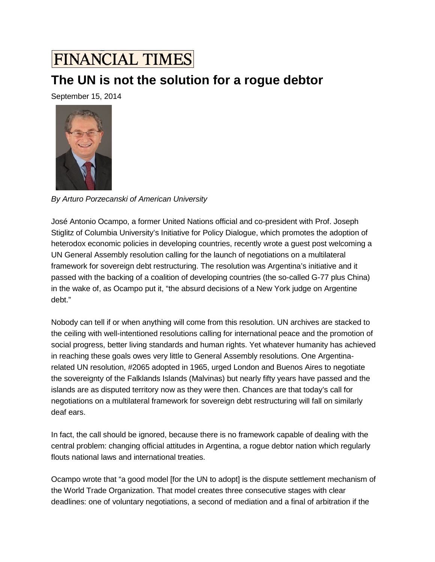## **FINANCIAL TIMES**

## **The UN is not the solution for a rogue debtor**

September 15, 2014



*By Arturo Porzecanski of American University*

José Antonio Ocampo, a former United Nations official and co-president with Prof. Joseph Stiglitz of Columbia University's Initiative for Policy Dialogue, which promotes the adoption of heterodox economic policies in developing countries, recently wrote a guest post welcoming a UN General Assembly resolution calling for the launch of negotiations on a multilateral framework for sovereign debt restructuring. The resolution was Argentina's initiative and it passed with the backing of a coalition of developing countries (the so-called G-77 plus China) in the wake of, as Ocampo put it, "the absurd decisions of a New York judge on Argentine debt."

Nobody can tell if or when anything will come from this resolution. UN archives are stacked to the ceiling with well-intentioned resolutions calling for international peace and the promotion of social progress, better living standards and human rights. Yet whatever humanity has achieved in reaching these goals owes very little to General Assembly resolutions. One Argentinarelated UN resolution, #2065 adopted in 1965, urged London and Buenos Aires to negotiate the sovereignty of the Falklands Islands (Malvinas) but nearly fifty years have passed and the islands are as disputed territory now as they were then. Chances are that today's call for negotiations on a multilateral framework for sovereign debt restructuring will fall on similarly deaf ears.

In fact, the call should be ignored, because there is no framework capable of dealing with the central problem: changing official attitudes in Argentina, a rogue debtor nation which regularly flouts national laws and international treaties.

Ocampo wrote that "a good model [for the UN to adopt] is the dispute settlement mechanism of the World Trade Organization. That model creates three consecutive stages with clear deadlines: one of voluntary negotiations, a second of mediation and a final of arbitration if the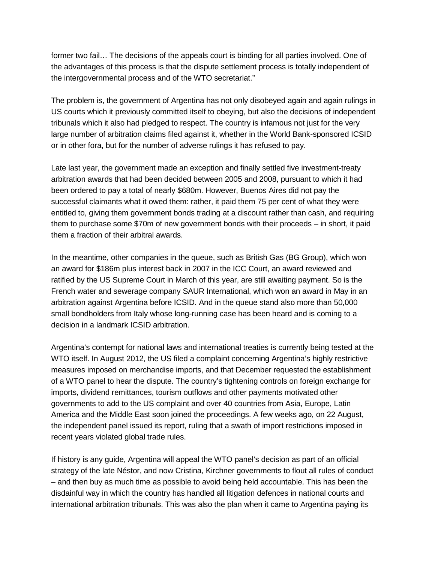former two fail… The decisions of the appeals court is binding for all parties involved. One of the advantages of this process is that the dispute settlement process is totally independent of the intergovernmental process and of the WTO secretariat."

The problem is, the government of Argentina has not only disobeyed again and again rulings in US courts which it previously committed itself to obeying, but also the decisions of independent tribunals which it also had pledged to respect. The country is infamous not just for the very large number of arbitration claims filed against it, whether in the World Bank-sponsored ICSID or in other fora, but for the number of adverse rulings it has refused to pay.

Late last year, the government made an exception and finally settled five investment-treaty arbitration awards that had been decided between 2005 and 2008, pursuant to which it had been ordered to pay a total of nearly \$680m. However, Buenos Aires did not pay the successful claimants what it owed them: rather, it paid them 75 per cent of what they were entitled to, giving them government bonds trading at a discount rather than cash, and requiring them to purchase some \$70m of new government bonds with their proceeds – in short, it paid them a fraction of their arbitral awards.

In the meantime, other companies in the queue, such as British Gas (BG Group), which won an award for \$186m plus interest back in 2007 in the ICC Court, an award reviewed and ratified by the US Supreme Court in March of this year, are still awaiting payment. So is the French water and sewerage company SAUR International, which won an award in May in an arbitration against Argentina before ICSID. And in the queue stand also more than 50,000 small bondholders from Italy whose long-running case has been heard and is coming to a decision in a landmark ICSID arbitration.

Argentina's contempt for national laws and international treaties is currently being tested at the WTO itself. In August 2012, the US filed a complaint concerning Argentina's highly restrictive measures imposed on merchandise imports, and that December requested the establishment of a WTO panel to hear the dispute. The country's tightening controls on foreign exchange for imports, dividend remittances, tourism outflows and other payments motivated other governments to add to the US complaint and over 40 countries from Asia, Europe, Latin America and the Middle East soon joined the proceedings. A few weeks ago, on 22 August, the independent panel issued its report, ruling that a swath of import restrictions imposed in recent years violated global trade rules.

If history is any guide, Argentina will appeal the WTO panel's decision as part of an official strategy of the late Néstor, and now Cristina, Kirchner governments to flout all rules of conduct – and then buy as much time as possible to avoid being held accountable. This has been the disdainful way in which the country has handled all litigation defences in national courts and international arbitration tribunals. This was also the plan when it came to Argentina paying its